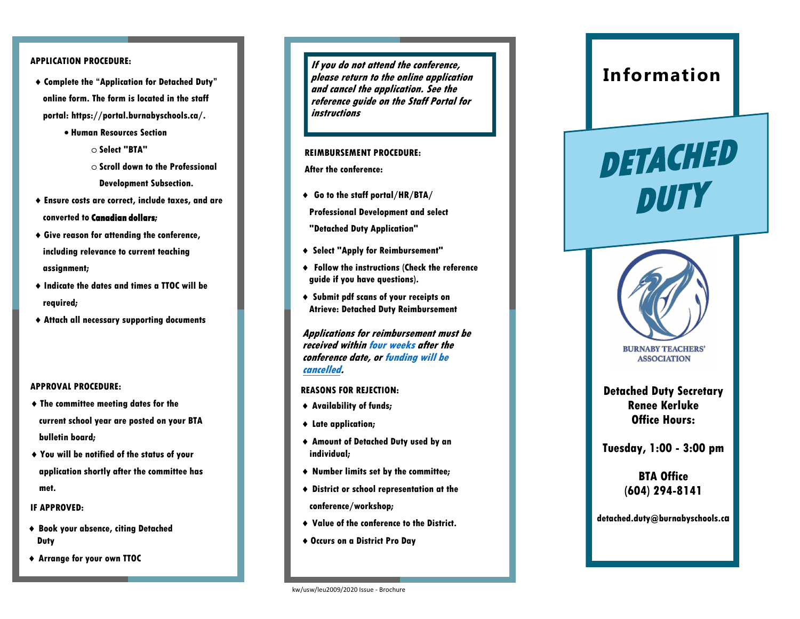# **APPLICATION PROCEDURE:**

- **Complete the "Application for Detached Duty" online form. The form is located in the staff portal: https://portal.burnabyschools.ca/.**
	- **Human Resources Section**
		- o **Select "BTA"**
		- o **Scroll down to the Professional**
			- **Development Subsection.**
- **Ensure costs are correct, include taxes, and are**

**converted to Canadian dollars;**

- **Give reason for attending the conference, including relevance to current teaching assignment;**
- **Indicate the dates and times a TTOC will be required;**
- **Attach all necessary supporting documents**

# **APPROVAL PROCEDURE:**

- **The committee meeting dates for the current school year are posted on your BTA bulletin board;**
- **You will be notified of the status of your application shortly after the committee has met.**

# **IF APPROVED:**

- **Book your absence, citing Detached Duty**
- **Arrange for your own TTOC**

**If you do not attend the conference, please return to the online application and cancel the application. See the reference guide on the Staff Portal for instructions**

### **REIMBURSEMENT PROCEDURE:**

**After the conference:** 

**Go to the staff portal/HR/BTA/**

**Professional Development and select** 

- **"Detached Duty Application"**
- **Select "Apply for Reimbursement"**
- **Follow the instructions (Check the reference guide if you have questions).**
- **Submit pdf scans of your receipts on Atrieve: Detached Duty Reimbursement**

**Applications for reimbursement must be received within four weeks after the conference date, or funding will be cancelled.**

# **REASONS FOR REJECTION:**

- **Availability of funds;**
- **Late application;**
- **Amount of Detached Duty used by an individual;**
- **Number limits set by the committee;**
- **District or school representation at the conference/workshop;**
- **Value of the conference to the District.**
- **Occurs on a District Pro Day**

# **Information**



**Detached Duty Secretary Renee Kerluke Office Hours:** 

**Tuesday, 1:00 - 3:00 pm**

**BTA Office (604) 294-8141**

**detached.duty@burnabyschools.c**